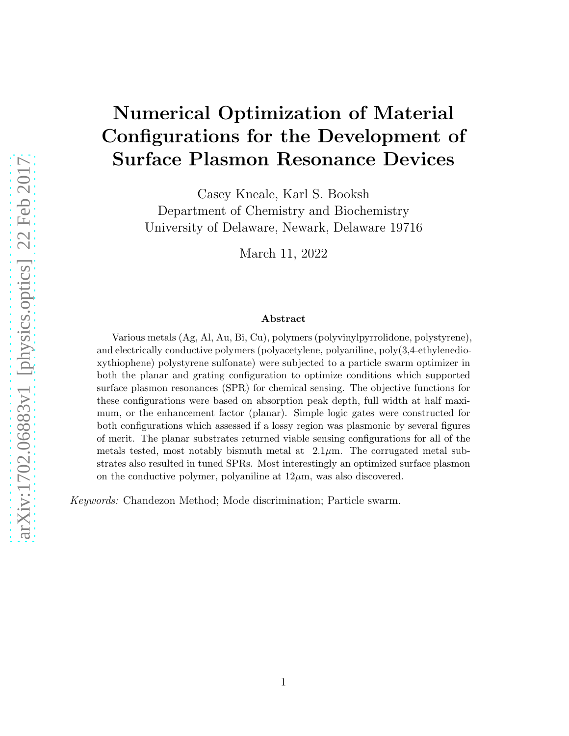# Numerical Optimization of Material Configurations for the Development of Surface Plasmon Resonance Devices

Casey Kneale, Karl S. Booksh Department of Chemistry and Biochemistry University of Delaware, Newark, Delaware 19716

March 11, 2022

#### Abstract

Various metals (Ag, Al, Au, Bi, Cu), polymers (polyvinylpyrrolidone, polystyrene), and electrically conductive polymers (polyacetylene, polyaniline, poly(3,4-ethylenedioxythiophene) polystyrene sulfonate) were subjected to a particle swarm optimizer in both the planar and grating configuration to optimize conditions which supported surface plasmon resonances (SPR) for chemical sensing. The objective functions for these configurations were based on absorption peak depth, full width at half maximum, or the enhancement factor (planar). Simple logic gates were constructed for both configurations which assessed if a lossy region was plasmonic by several figures of merit. The planar substrates returned viable sensing configurations for all of the metals tested, most notably bismuth metal at  $2.1\mu$ m. The corrugated metal substrates also resulted in tuned SPRs. Most interestingly an optimized surface plasmon on the conductive polymer, polyaniline at  $12\mu$ m, was also discovered.

*Keywords:* Chandezon Method; Mode discrimination; Particle swarm.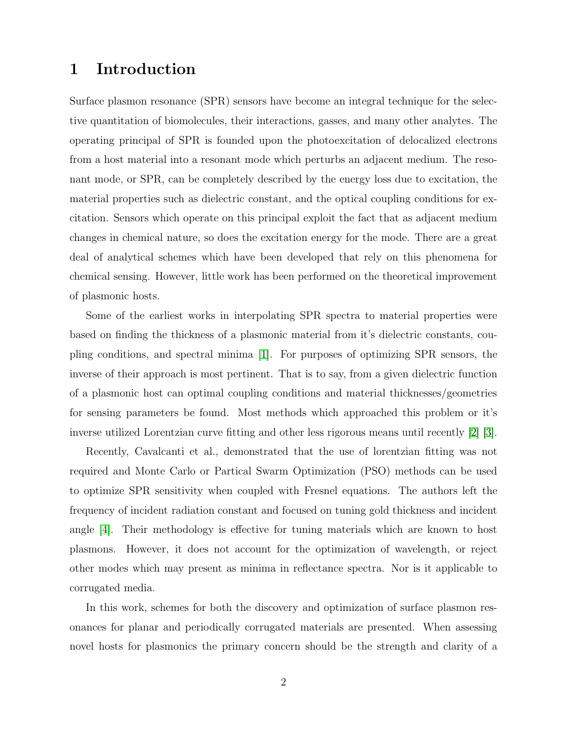#### 1 Introduction

Surface plasmon resonance (SPR) sensors have become an integral technique for the selective quantitation of biomolecules, their interactions, gasses, and many other analytes. The operating principal of SPR is founded upon the photoexcitation of delocalized electrons from a host material into a resonant mode which perturbs an adjacent medium. The resonant mode, or SPR, can be completely described by the energy loss due to excitation, the material properties such as dielectric constant, and the optical coupling conditions for excitation. Sensors which operate on this principal exploit the fact that as adjacent medium changes in chemical nature, so does the excitation energy for the mode. There are a great deal of analytical schemes which have been developed that rely on this phenomena for chemical sensing. However, little work has been performed on the theoretical improvement of plasmonic hosts.

Some of the earliest works in interpolating SPR spectra to material properties were based on finding the thickness of a plasmonic material from it's dielectric constants, coupling conditions, and spectral minima [\[1\]](#page-10-0). For purposes of optimizing SPR sensors, the inverse of their approach is most pertinent. That is to say, from a given dielectric function of a plasmonic host can optimal coupling conditions and material thicknesses/geometries for sensing parameters be found. Most methods which approached this problem or it's inverse utilized Lorentzian curve fitting and other less rigorous means until recently [\[2\]](#page-10-1) [\[3\]](#page-10-2).

Recently, Cavalcanti et al., demonstrated that the use of lorentzian fitting was not required and Monte Carlo or Partical Swarm Optimization (PSO) methods can be used to optimize SPR sensitivity when coupled with Fresnel equations. The authors left the frequency of incident radiation constant and focused on tuning gold thickness and incident angle [\[4\]](#page-10-3). Their methodology is effective for tuning materials which are known to host plasmons. However, it does not account for the optimization of wavelength, or reject other modes which may present as minima in reflectance spectra. Nor is it applicable to corrugated media.

In this work, schemes for both the discovery and optimization of surface plasmon resonances for planar and periodically corrugated materials are presented. When assessing novel hosts for plasmonics the primary concern should be the strength and clarity of a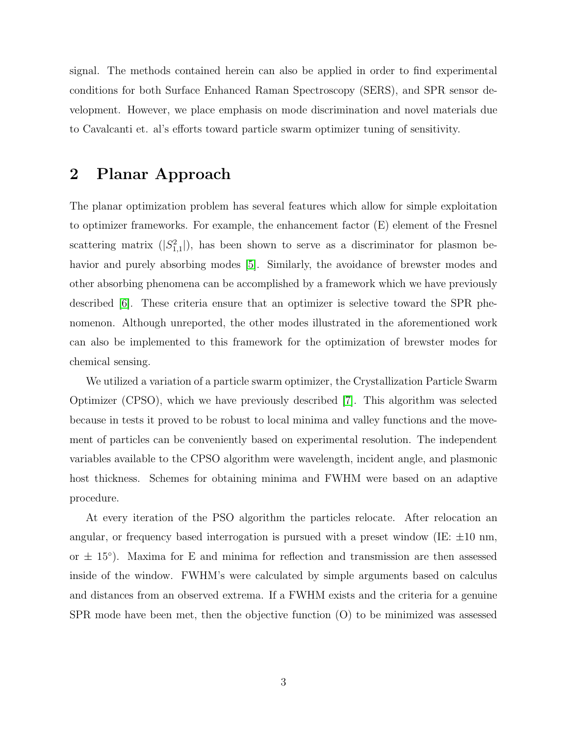signal. The methods contained herein can also be applied in order to find experimental conditions for both Surface Enhanced Raman Spectroscopy (SERS), and SPR sensor development. However, we place emphasis on mode discrimination and novel materials due to Cavalcanti et. al's efforts toward particle swarm optimizer tuning of sensitivity.

#### 2 Planar Approach

The planar optimization problem has several features which allow for simple exploitation to optimizer frameworks. For example, the enhancement factor (E) element of the Fresnel scattering matrix  $(|S_{1,1}^2|)$ , has been shown to serve as a discriminator for plasmon be-havior and purely absorbing modes [\[5\]](#page-10-4). Similarly, the avoidance of brewster modes and other absorbing phenomena can be accomplished by a framework which we have previously described [\[6\]](#page-10-5). These criteria ensure that an optimizer is selective toward the SPR phenomenon. Although unreported, the other modes illustrated in the aforementioned work can also be implemented to this framework for the optimization of brewster modes for chemical sensing.

We utilized a variation of a particle swarm optimizer, the Crystallization Particle Swarm Optimizer (CPSO), which we have previously described [\[7\]](#page-10-6). This algorithm was selected because in tests it proved to be robust to local minima and valley functions and the movement of particles can be conveniently based on experimental resolution. The independent variables available to the CPSO algorithm were wavelength, incident angle, and plasmonic host thickness. Schemes for obtaining minima and FWHM were based on an adaptive procedure.

At every iteration of the PSO algorithm the particles relocate. After relocation an angular, or frequency based interrogation is pursued with a preset window (IE:  $\pm 10$  nm, or  $\pm$  15<sup>°</sup>). Maxima for E and minima for reflection and transmission are then assessed inside of the window. FWHM's were calculated by simple arguments based on calculus and distances from an observed extrema. If a FWHM exists and the criteria for a genuine SPR mode have been met, then the objective function (O) to be minimized was assessed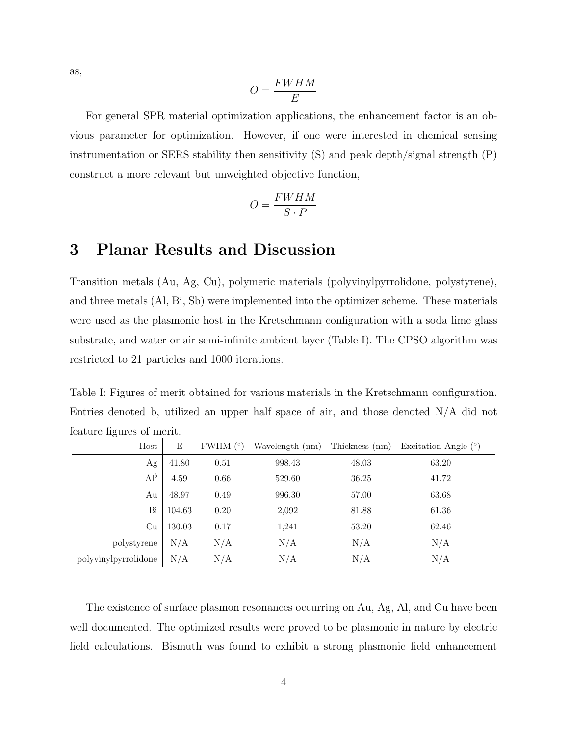as,

$$
O = \frac{FWHM}{E}
$$

For general SPR material optimization applications, the enhancement factor is an obvious parameter for optimization. However, if one were interested in chemical sensing instrumentation or SERS stability then sensitivity (S) and peak depth/signal strength (P) construct a more relevant but unweighted objective function,

$$
O = \frac{FWHM}{S \cdot P}
$$

#### 3 Planar Results and Discussion

Transition metals (Au, Ag, Cu), polymeric materials (polyvinylpyrrolidone, polystyrene), and three metals (Al, Bi, Sb) were implemented into the optimizer scheme. These materials were used as the plasmonic host in the Kretschmann configuration with a soda lime glass substrate, and water or air semi-infinite ambient layer (Table I). The CPSO algorithm was restricted to 21 particles and 1000 iterations.

Table I: Figures of merit obtained for various materials in the Kretschmann configuration. Entries denoted b, utilized an upper half space of air, and those denoted N/A did not feature figures of merit.

| Host                                                                   | Ε        | FWHM $(°)$ | Wavelength (nm) | Thickness (nm) | Excitation Angle $(°)$ |
|------------------------------------------------------------------------|----------|------------|-----------------|----------------|------------------------|
| Ag                                                                     | 41.80    | 0.51       | 998.43          | 48.03          | 63.20                  |
| $\mathbf{Al}^{b}$                                                      | $4.59\,$ | 0.66       | 529.60          | 36.25          | 41.72                  |
| Au                                                                     | 48.97    | 0.49       | 996.30          | 57.00          | 63.68                  |
| Bi                                                                     | 104.63   | 0.20       | 2,092           | 81.88          | 61.36                  |
| Cu                                                                     | 130.03   | 0.17       | 1,241           | 53.20          | 62.46                  |
| polystyrene $\left \begin{array}{c c} N/A\end{array}\right.$           |          | $\rm N/A$  | N/A             | N/A            | N/A                    |
| polyvinylpyrrolid<br>one $\left \begin{array}{c}N/A\end{array}\right.$ |          | N/A        | N/A             | N/A            | N/A                    |

The existence of surface plasmon resonances occurring on Au, Ag, Al, and Cu have been well documented. The optimized results were proved to be plasmonic in nature by electric field calculations. Bismuth was found to exhibit a strong plasmonic field enhancement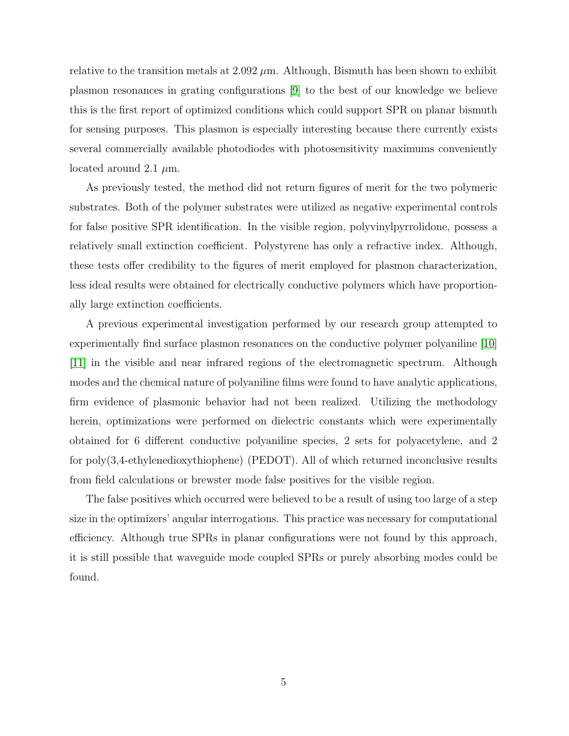relative to the transition metals at  $2.092 \mu m$ . Although, Bismuth has been shown to exhibit plasmon resonances in grating configurations [\[9\]](#page-10-7) to the best of our knowledge we believe this is the first report of optimized conditions which could support SPR on planar bismuth for sensing purposes. This plasmon is especially interesting because there currently exists several commercially available photodiodes with photosensitivity maximums conveniently located around 2.1  $\mu$ m.

As previously tested, the method did not return figures of merit for the two polymeric substrates. Both of the polymer substrates were utilized as negative experimental controls for false positive SPR identification. In the visible region, polyvinylpyrrolidone, possess a relatively small extinction coefficient. Polystyrene has only a refractive index. Although, these tests offer credibility to the figures of merit employed for plasmon characterization, less ideal results were obtained for electrically conductive polymers which have proportionally large extinction coefficients.

A previous experimental investigation performed by our research group attempted to experimentally find surface plasmon resonances on the conductive polymer polyaniline [\[10\]](#page-10-8) [\[11\]](#page-11-0) in the visible and near infrared regions of the electromagnetic spectrum. Although modes and the chemical nature of polyaniline films were found to have analytic applications, firm evidence of plasmonic behavior had not been realized. Utilizing the methodology herein, optimizations were performed on dielectric constants which were experimentally obtained for 6 different conductive polyaniline species, 2 sets for polyacetylene, and 2 for poly(3,4-ethylenedioxythiophene) (PEDOT). All of which returned inconclusive results from field calculations or brewster mode false positives for the visible region.

The false positives which occurred were believed to be a result of using too large of a step size in the optimizers' angular interrogations. This practice was necessary for computational efficiency. Although true SPRs in planar configurations were not found by this approach, it is still possible that waveguide mode coupled SPRs or purely absorbing modes could be found.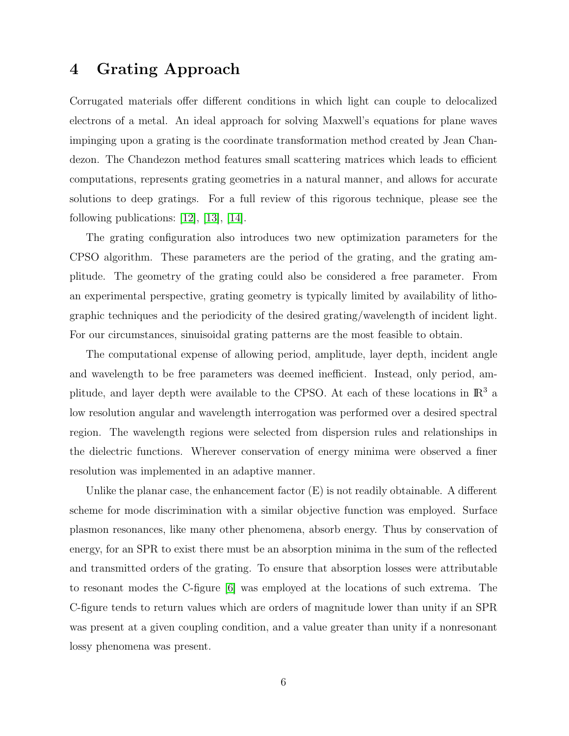#### 4 Grating Approach

Corrugated materials offer different conditions in which light can couple to delocalized electrons of a metal. An ideal approach for solving Maxwell's equations for plane waves impinging upon a grating is the coordinate transformation method created by Jean Chandezon. The Chandezon method features small scattering matrices which leads to efficient computations, represents grating geometries in a natural manner, and allows for accurate solutions to deep gratings. For a full review of this rigorous technique, please see the following publications:  $|12|, |13|, |14|$ .

The grating configuration also introduces two new optimization parameters for the CPSO algorithm. These parameters are the period of the grating, and the grating amplitude. The geometry of the grating could also be considered a free parameter. From an experimental perspective, grating geometry is typically limited by availability of lithographic techniques and the periodicity of the desired grating/wavelength of incident light. For our circumstances, sinuisoidal grating patterns are the most feasible to obtain.

The computational expense of allowing period, amplitude, layer depth, incident angle and wavelength to be free parameters was deemed inefficient. Instead, only period, amplitude, and layer depth were available to the CPSO. At each of these locations in  $\mathbb{R}^3$  a low resolution angular and wavelength interrogation was performed over a desired spectral region. The wavelength regions were selected from dispersion rules and relationships in the dielectric functions. Wherever conservation of energy minima were observed a finer resolution was implemented in an adaptive manner.

Unlike the planar case, the enhancement factor (E) is not readily obtainable. A different scheme for mode discrimination with a similar objective function was employed. Surface plasmon resonances, like many other phenomena, absorb energy. Thus by conservation of energy, for an SPR to exist there must be an absorption minima in the sum of the reflected and transmitted orders of the grating. To ensure that absorption losses were attributable to resonant modes the C-figure [\[6\]](#page-10-5) was employed at the locations of such extrema. The C-figure tends to return values which are orders of magnitude lower than unity if an SPR was present at a given coupling condition, and a value greater than unity if a nonresonant lossy phenomena was present.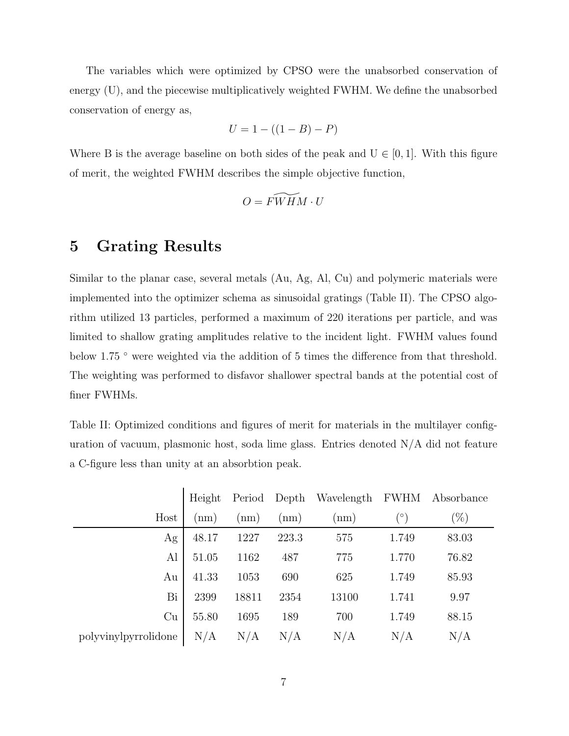The variables which were optimized by CPSO were the unabsorbed conservation of energy (U), and the piecewise multiplicatively weighted FWHM. We define the unabsorbed conservation of energy as,

$$
U = 1 - ((1 - B) - P)
$$

Where B is the average baseline on both sides of the peak and  $U \in [0, 1]$ . With this figure of merit, the weighted FWHM describes the simple objective function,

$$
O = \widetilde{FWHM} \cdot U
$$

#### 5 Grating Results

Similar to the planar case, several metals (Au, Ag, Al, Cu) and polymeric materials were implemented into the optimizer schema as sinusoidal gratings (Table II). The CPSO algorithm utilized 13 particles, performed a maximum of 220 iterations per particle, and was limited to shallow grating amplitudes relative to the incident light. FWHM values found below 1.75 ° were weighted via the addition of 5 times the difference from that threshold. The weighting was performed to disfavor shallower spectral bands at the potential cost of finer FWHMs.

Table II: Optimized conditions and figures of merit for materials in the multilayer configuration of vacuum, plasmonic host, soda lime glass. Entries denoted  $N/A$  did not feature a C-figure less than unity at an absorbtion peak.

|                      | Height |       |       | Period Depth Wavelength FWHM |           | Absorbance |
|----------------------|--------|-------|-------|------------------------------|-----------|------------|
| Host                 | (nm)   | (nm)  | (nm)  | (nm)                         | $(\circ)$ | $(\%)$     |
| Ag                   | 48.17  | 1227  | 223.3 | 575                          | 1.749     | 83.03      |
| Al                   | 51.05  | 1162  | 487   | 775                          | 1.770     | 76.82      |
| Au                   | 41.33  | 1053  | 690   | 625                          | 1.749     | 85.93      |
| Bi                   | 2399   | 18811 | 2354  | 13100                        | 1.741     | 9.97       |
| Cu                   | 55.80  | 1695  | 189   | 700                          | 1.749     | 88.15      |
| polyvinylpyrrolidone | N/A    | N/A   | N/A   | N/A                          | N/A       | N/A        |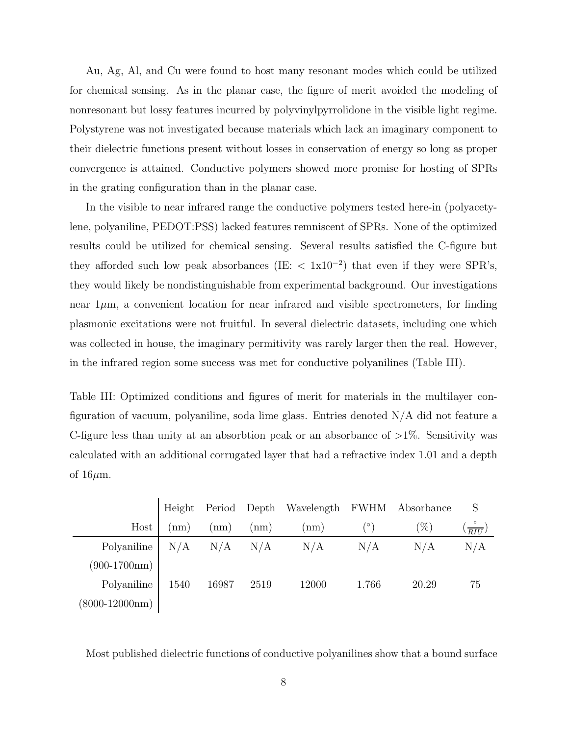Au, Ag, Al, and Cu were found to host many resonant modes which could be utilized for chemical sensing. As in the planar case, the figure of merit avoided the modeling of nonresonant but lossy features incurred by polyvinylpyrrolidone in the visible light regime. Polystyrene was not investigated because materials which lack an imaginary component to their dielectric functions present without losses in conservation of energy so long as proper convergence is attained. Conductive polymers showed more promise for hosting of SPRs in the grating configuration than in the planar case.

In the visible to near infrared range the conductive polymers tested here-in (polyacetylene, polyaniline, PEDOT:PSS) lacked features remniscent of SPRs. None of the optimized results could be utilized for chemical sensing. Several results satisfied the C-figure but they afforded such low peak absorbances (IE:  $\langle 1x10^{-2} \rangle$  that even if they were SPR's, they would likely be nondistinguishable from experimental background. Our investigations near  $1\mu$ m, a convenient location for near infrared and visible spectrometers, for finding plasmonic excitations were not fruitful. In several dielectric datasets, including one which was collected in house, the imaginary permitivity was rarely larger then the real. However, in the infrared region some success was met for conductive polyanilines (Table III).

Table III: Optimized conditions and figures of merit for materials in the multilayer configuration of vacuum, polyaniline, soda lime glass. Entries denoted N/A did not feature a C-figure less than unity at an absorbtion peak or an absorbance of  $>1\%$ . Sensitivity was calculated with an additional corrugated layer that had a refractive index 1.01 and a depth of  $16\mu$ m.

|                  |             |             |      | Height Period Depth Wavelength FWHM Absorbance |       |       |                 |
|------------------|-------------|-------------|------|------------------------------------------------|-------|-------|-----------------|
| Host             | $\text{nm}$ | nm)         | nm)  | (nm)                                           |       | $\%$  | $\frac{6}{RIU}$ |
| Polyaniline      | N/A         | $N/A$ $N/A$ |      | N/A                                            | N/A   | N/A   | N/A             |
| $(900-1700nm)$   |             |             |      |                                                |       |       |                 |
| Polyaniline      | 1540        | 16987       | 2519 | 12000                                          | 1.766 | 20.29 | 75              |
| $(8000-12000nm)$ |             |             |      |                                                |       |       |                 |

Most published dielectric functions of conductive polyanilines show that a bound surface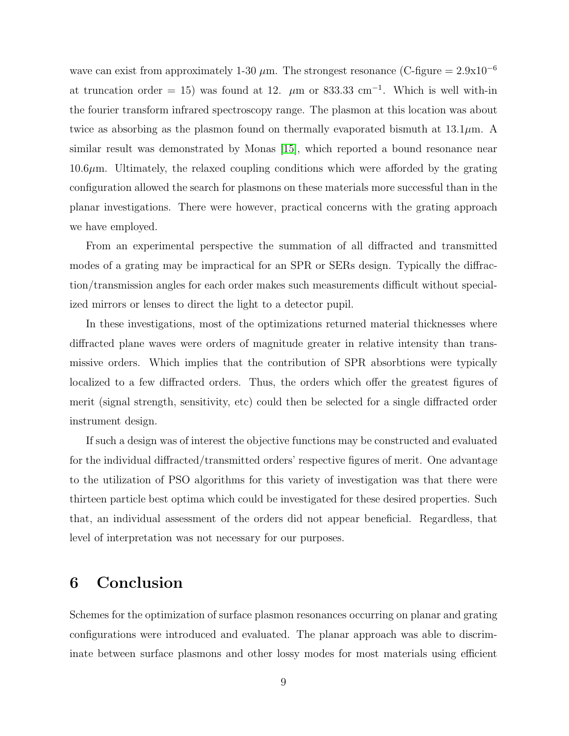wave can exist from approximately 1-30  $\mu$ m. The strongest resonance (C-figure = 2.9x10<sup>-6</sup> at truncation order = 15) was found at 12.  $\mu$ m or 833.33 cm<sup>-1</sup>. Which is well with-in the fourier transform infrared spectroscopy range. The plasmon at this location was about twice as absorbing as the plasmon found on thermally evaporated bismuth at  $13.1\mu$ m. A similar result was demonstrated by Monas [\[15\]](#page-11-4), which reported a bound resonance near  $10.6\mu$ m. Ultimately, the relaxed coupling conditions which were afforded by the grating configuration allowed the search for plasmons on these materials more successful than in the planar investigations. There were however, practical concerns with the grating approach we have employed.

From an experimental perspective the summation of all diffracted and transmitted modes of a grating may be impractical for an SPR or SERs design. Typically the diffraction/transmission angles for each order makes such measurements difficult without specialized mirrors or lenses to direct the light to a detector pupil.

In these investigations, most of the optimizations returned material thicknesses where diffracted plane waves were orders of magnitude greater in relative intensity than transmissive orders. Which implies that the contribution of SPR absorbtions were typically localized to a few diffracted orders. Thus, the orders which offer the greatest figures of merit (signal strength, sensitivity, etc) could then be selected for a single diffracted order instrument design.

If such a design was of interest the objective functions may be constructed and evaluated for the individual diffracted/transmitted orders' respective figures of merit. One advantage to the utilization of PSO algorithms for this variety of investigation was that there were thirteen particle best optima which could be investigated for these desired properties. Such that, an individual assessment of the orders did not appear beneficial. Regardless, that level of interpretation was not necessary for our purposes.

#### 6 Conclusion

Schemes for the optimization of surface plasmon resonances occurring on planar and grating configurations were introduced and evaluated. The planar approach was able to discriminate between surface plasmons and other lossy modes for most materials using efficient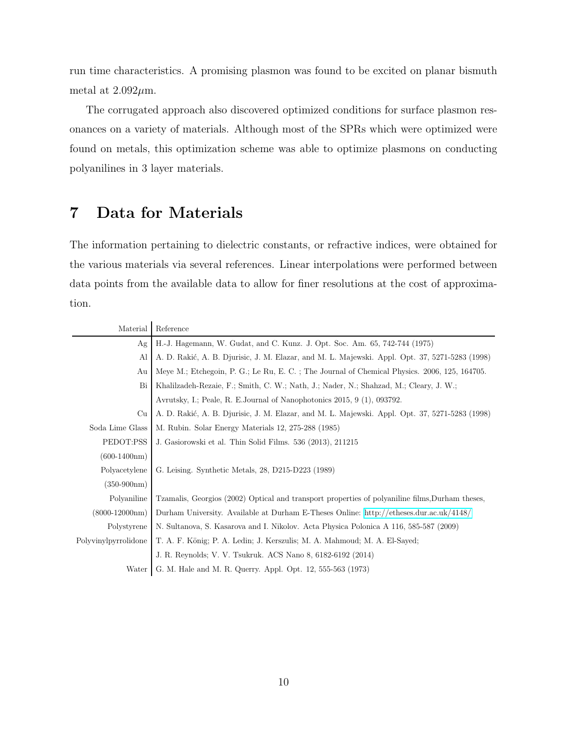run time characteristics. A promising plasmon was found to be excited on planar bismuth metal at  $2.092 \mu m$ .

The corrugated approach also discovered optimized conditions for surface plasmon resonances on a variety of materials. Although most of the SPRs which were optimized were found on metals, this optimization scheme was able to optimize plasmons on conducting polyanilines in 3 layer materials.

## 7 Data for Materials

The information pertaining to dielectric constants, or refractive indices, were obtained for the various materials via several references. Linear interpolations were performed between data points from the available data to allow for finer resolutions at the cost of approximation.

| Material             | Reference                                                                                       |
|----------------------|-------------------------------------------------------------------------------------------------|
| Ag                   | H.-J. Hagemann, W. Gudat, and C. Kunz. J. Opt. Soc. Am. 65, 742-744 (1975)                      |
| Al                   | A. D. Rakić, A. B. Djurisic, J. M. Elazar, and M. L. Majewski. Appl. Opt. 37, 5271-5283 (1998)  |
| Au                   | Meye M.; Etchegoin, P. G.; Le Ru, E. C.; The Journal of Chemical Physics. 2006, 125, 164705.    |
| Bi                   | Khalilzadeh-Rezaie, F.; Smith, C. W.; Nath, J.; Nader, N.; Shahzad, M.; Cleary, J. W.;          |
|                      | Avrutsky, I.; Peale, R. E. Journal of Nanophotonics 2015, 9 (1), 093792.                        |
| Cu                   | A. D. Rakić, A. B. Djurisic, J. M. Elazar, and M. L. Majewski. Appl. Opt. 37, 5271-5283 (1998)  |
| Soda Lime Glass      | M. Rubin. Solar Energy Materials 12, 275-288 (1985)                                             |
| PEDOT:PSS            | J. Gasiorowski et al. Thin Solid Films. 536 (2013), 211215                                      |
| $(600-1400nm)$       |                                                                                                 |
| Polyacetylene        | G. Leising. Synthetic Metals, 28, D215-D223 (1989)                                              |
| $(350-900nm)$        |                                                                                                 |
| Polyaniline          | Tzamalis, Georgios (2002) Optical and transport properties of polyaniline films, Durham theses, |
| $(8000-12000nm)$     | Durham University. Available at Durham E-Theses Online: http://etheses.dur.ac.uk/4148/          |
| Polystyrene          | N. Sultanova, S. Kasarova and I. Nikolov. Acta Physica Polonica A 116, 585-587 (2009)           |
| Polyvinylpyrrolidone | T. A. F. König; P. A. Ledin; J. Kerszulis; M. A. Mahmoud; M. A. El-Sayed;                       |
|                      | J. R. Reynolds; V. V. Tsukruk. ACS Nano 8, 6182-6192 (2014)                                     |
| Water                | G. M. Hale and M. R. Querry. Appl. Opt. 12, 555-563 (1973)                                      |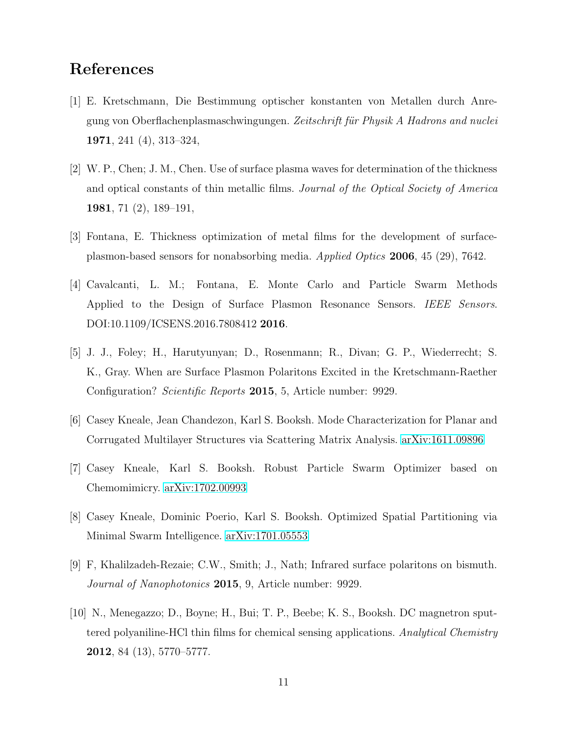### <span id="page-10-0"></span>References

- [1] E. Kretschmann, Die Bestimmung optischer konstanten von Metallen durch Anregung von Oberflachenplasmaschwingungen. *Zeitschrift f¨ur Physik A Hadrons and nuclei* 1971, 241 (4), 313–324,
- <span id="page-10-1"></span>[2] W. P., Chen; J. M., Chen. Use of surface plasma waves for determination of the thickness and optical constants of thin metallic films. *Journal of the Optical Society of America* 1981, 71 (2), 189–191,
- <span id="page-10-3"></span><span id="page-10-2"></span>[3] Fontana, E. Thickness optimization of metal films for the development of surfaceplasmon-based sensors for nonabsorbing media. *Applied Optics* 2006, 45 (29), 7642.
- [4] Cavalcanti, L. M.; Fontana, E. Monte Carlo and Particle Swarm Methods Applied to the Design of Surface Plasmon Resonance Sensors. *IEEE Sensors*. DOI:10.1109/ICSENS.2016.7808412 2016.
- <span id="page-10-4"></span>[5] J. J., Foley; H., Harutyunyan; D., Rosenmann; R., Divan; G. P., Wiederrecht; S. K., Gray. When are Surface Plasmon Polaritons Excited in the Kretschmann-Raether Configuration? *Scientific Reports* 2015, 5, Article number: 9929.
- <span id="page-10-6"></span><span id="page-10-5"></span>[6] Casey Kneale, Jean Chandezon, Karl S. Booksh. Mode Characterization for Planar and Corrugated Multilayer Structures via Scattering Matrix Analysis. [arXiv:1611.09896](http://arxiv.org/abs/1611.09896)
- [7] Casey Kneale, Karl S. Booksh. Robust Particle Swarm Optimizer based on Chemomimicry. [arXiv:1702.00993](http://arxiv.org/abs/1702.00993)
- <span id="page-10-7"></span>[8] Casey Kneale, Dominic Poerio, Karl S. Booksh. Optimized Spatial Partitioning via Minimal Swarm Intelligence. [arXiv:1701.05553](http://arxiv.org/abs/1701.05553)
- <span id="page-10-8"></span>[9] F, Khalilzadeh-Rezaie; C.W., Smith; J., Nath; Infrared surface polaritons on bismuth. *Journal of Nanophotonics* 2015, 9, Article number: 9929.
- [10] N., Menegazzo; D., Boyne; H., Bui; T. P., Beebe; K. S., Booksh. DC magnetron sputtered polyaniline-HCl thin films for chemical sensing applications. *Analytical Chemistry* **2012**, 84  $(13)$ , 5770–5777.